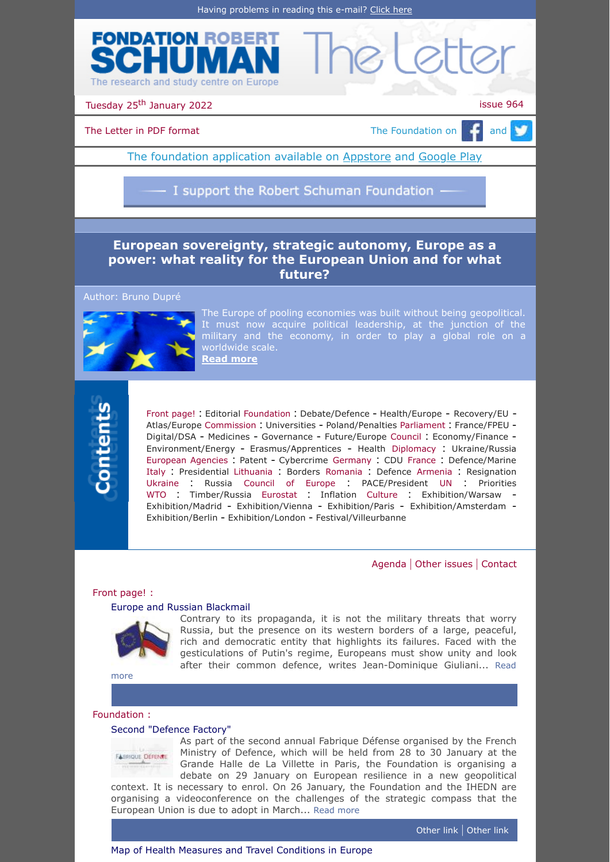



Tuesday 25<sup>th</sup> January 2022 **issue 964** 

[The Letter in PDF format](https://www.robert-schuman.eu/en/doc/lettres/lettre-964-en.pdf)  $\Box$  The Foundation on  $\Box$  and  $\Box$ 

The foundation application available on **Appstore** and [Google Play](https://play.google.com/store/apps/details?id=com.digiplace.fondation_Robert_Schuman)

I support the Robert Schuman Foundation -

# **European sovereignty, strategic autonomy, Europe as a [power: what reality for the European Union and for what](https://www.robert-schuman.eu/en/doc/questions-d-europe/qe-620-en.pdf) future?**

Author: Bruno Dupré



The Europe of pooling economies was built without being geopolitical. It must now acquire political leadership, at the junction of the military and the economy, in order to play a global role on a worldwide scale. **[Read more](https://www.robert-schuman.eu/en/doc/questions-d-europe/qe-620-en.pdf)**



[Front page!](#page-0-0) : [Editorial](#page-0-1) [Foundation](#page-0-2) : [Debate/Defence](#page-0-3) - [Health/Europe](#page-0-4) - [Recovery/EU](#page-1-0) - [Atlas/Europe](#page-1-1) [Commission](#page-1-2) : [Universities](#page-1-3) - [Poland/Penalties](#page-1-4) [Parliament](#page-1-5) : [France/FPEU](#page-1-6) - [Digital/DSA](#page-1-7) - [Medicines](#page-2-0) - [Governance](#page-2-1) - [Future/Europe](#page-2-2) [Council](#page-2-3) : [Economy/Finance](#page-2-4) - [Environment/Energy](#page-2-5) - [Erasmus/Apprentices](#page-2-6) - [Health](#page-3-0) [Diplomacy](#page-3-1) : [Ukraine/Russia](#page-3-2) [European Agencies](#page-3-3) : [Patent](#page-3-4) - [Cybercrime](#page-3-5) [Germany](#page-3-6) : [CDU](#page-3-7) [France](#page-3-8) : [Defence/Marine](#page-3-9) [Italy](#page-3-10) : [Presidential](#page-3-11) [Lithuania](#page-4-0) : [Borders](#page-4-1) [Romania](#page-4-2) : [Defence](#page-4-3) [Armenia](#page-4-4) : [Resignation](#page-4-5) [Ukraine](#page-4-6) : [Russia](#page-4-7) [Council of Europe](#page-4-8) : [PACE/President](#page-4-9) [UN](#page-4-10) : [Priorities](#page-4-11) [WTO](#page-4-12) : [Timber/Russia](#page-4-13) [Eurostat](#page-4-14) : [Inflation](#page-4-15) [Culture](#page-5-0) : [Exhibition/Warsaw](#page-5-1) [Exhibition/Madrid](#page-5-2) - [Exhibition/Vienna](#page-5-3) - [Exhibition/Paris](#page-5-4) - [Exhibition/Amsterdam](#page-5-5) - [Exhibition/Berlin](#page-5-6) - [Exhibition/London](#page-5-7) - [Festival/Villeurbanne](#page-5-8)

[Agenda](#page-6-0) | [Other issues](#page-6-1) | [Contact](#page-6-2)

## <span id="page-0-0"></span>Front page! :

## <span id="page-0-1"></span>[Europe and Russian Blackmail](https://www.jd-giuliani.eu/en/article/cat-2/847_-Europe-and-Russian-Blackmail.html)

Contrary to its propaganda, it is not the military threats that worry Russia, but the presence on its western borders of a large, peaceful, rich and democratic entity that highlights its failures. Faced with the gesticulations of Putin's regime, Europeans must show unity and look after their [common defence, writes Jean-Dominique Giuliani...](https://www.jd-giuliani.eu/en/article/cat-2/847_-Europe-and-Russian-Blackmail.html) Read

more

## <span id="page-0-2"></span>Foundation :

## <span id="page-0-3"></span>[Second "Defence Factory"](https://www.robert-schuman.eu/fr/breves/4401-comment-organiser-la-resilience-europeenne-face-aux-nouvelles-menaces-et-aux-risques)

**FABRIQUE DÉFENIE** 

As part of the second annual Fabrique Défense organised by the French Ministry of Defence, which will be held from 28 to 30 January at the Grande Halle de La Villette in Paris, the Foundation is organising a debate on 29 January on European resilience in a new geopolitical

<span id="page-0-4"></span>context. It is necessary to enrol. On 26 January, the Foundation and the IHEDN are organising a videoconference on the challenges of the strategic compass that the European Union is due to adopt in March... [Read more](https://www.robert-schuman.eu/fr/breves/4401-comment-organiser-la-resilience-europeenne-face-aux-nouvelles-menaces-et-aux-risques)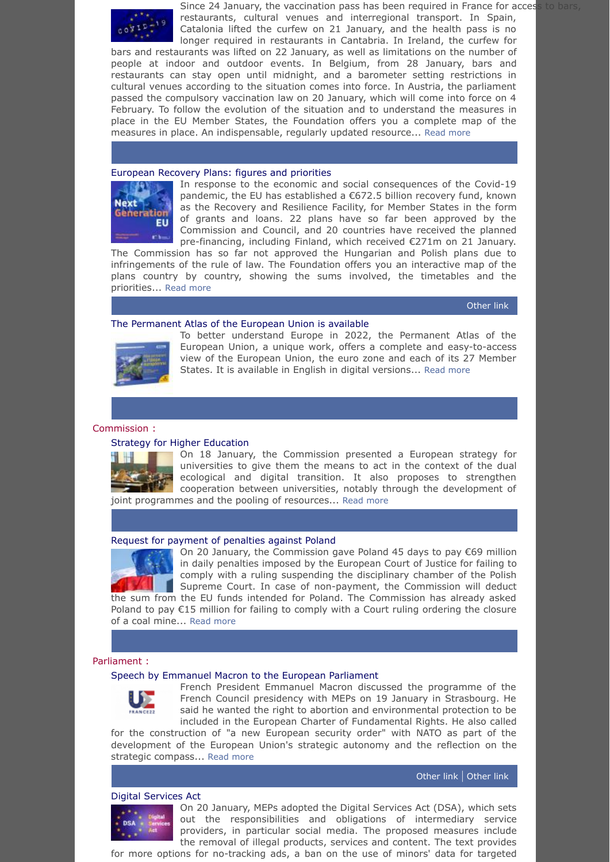

Since 24 January, the vaccination pass has been required in France for access to bars, restaurants, cultural venues and interregional transport. In Spain, Catalonia lifted the curfew on 21 January, and the health pass is no longer required in restaurants in Cantabria. In Ireland, the curfew for

bars and restaurants was lifted on 22 January, as well as limitations on the number of people at indoor and outdoor events. In Belgium, from 28 January, bars and restaurants can stay open until midnight, and a barometer setting restrictions in cultural venues according to the situation comes into force. In Austria, the parliament passed the compulsory vaccination law on 20 January, which will come into force on 4 February. To follow the evolution of the situation and to understand the measures in place in the EU Member States, the Foundation offers you a complete map of the measures in place. An indispensable, regularly updated resource... [Read more](https://www.robert-schuman.eu/en/covid19)

## <span id="page-1-0"></span>[European Recovery Plans: figures and priorities](https://www.robert-schuman.eu/en/european-recovery-plan)



In response to the economic and social consequences of the Covid-19 pandemic, the EU has established a €672.5 billion recovery fund, known as the Recovery and Resilience Facility, for Member States in the form of grants and loans. 22 plans have so far been approved by the Commission and Council, and 20 countries have received the planned pre-financing, including Finland, which received €271m on 21 January.

The Commission has so far not approved the Hungarian and Polish plans due to infringements of the rule of law. The Foundation offers you an interactive map of the plans country by country, showing the sums involved, the timetables and the priorities... [Read more](https://www.robert-schuman.eu/en/european-recovery-plan)

[Other](https://ec.europa.eu/commission/presscorner/detail/en/ip_22_430) link

#### <span id="page-1-1"></span>[The Permanent Atlas of the European Union is available](https://www.robert-schuman.eu/en/bookshop/0261-the-3rd-edition-of-the-permanent-atlas-of-the-european-union)



To better understand Europe in 2022, the Permanent Atlas of the European Union, a unique work, offers a complete and easy-to-access view of the European Union, the euro zone and each of its 27 Member States. It is available in English in digital versions... [Read more](https://www.robert-schuman.eu/en/bookshop/0261-the-3rd-edition-of-the-permanent-atlas-of-the-european-union)

## <span id="page-1-2"></span>Commission :

## <span id="page-1-3"></span>[Strategy for Higher Education](https://ec.europa.eu/commission/presscorner/detail/en/ip_22_365)



On 18 January, the Commission presented a European strategy for universities to give them the means to act in the context of the dual ecological and digital transition. It also proposes to strengthen cooperation between universities, notably through the development of joint programmes and the pooling of resources... [Read more](https://ec.europa.eu/commission/presscorner/detail/en/ip_22_365)

## <span id="page-1-4"></span>[Request for payment of penalties against Poland](https://www.politico.eu/article/eu-commission-demands-poland-pay-fine-over-judiciary/)



On 20 January, the Commission gave Poland 45 days to pay €69 million in daily penalties imposed by the European Court of Justice for failing to comply with a ruling suspending the disciplinary chamber of the Polish Supreme Court. In case of non-payment, the Commission will deduct the sum from the EU funds intended for Poland. The Commission has already asked Poland to pay €15 million for failing to comply with a Court ruling ordering the closure

of a coal mine... [Read more](https://www.politico.eu/article/eu-commission-demands-poland-pay-fine-over-judiciary/)

#### <span id="page-1-5"></span>Parliament :

#### <span id="page-1-6"></span>[Speech by Emmanuel Macron to the European Parliament](https://www.france24.com/en/europe/20220119-emmanuel-macron-to-present-priorities-to-the-european-parliament)



French President Emmanuel Macron discussed the programme of the French Council presidency with MEPs on 19 January in Strasbourg. He said he wanted the right to abortion and environmental protection to be included in the European Charter of Fundamental Rights. He also called

for the construction of "a new European security order" with NATO as part of the development of the European Union's strategic autonomy and the reflection on the strategic compass... [Read more](https://www.france24.com/en/europe/20220119-emmanuel-macron-to-present-priorities-to-the-european-parliament)

#### [Other](https://www.elysee.fr/emmanuel-macron/2022/01/19/discours-du-president-emmanuel-macron-devant-le-parlement-europeen) link | [Other](https://www.europarl.europa.eu/news/en/press-room/20220114IPR21014/meps-debated-the-french-presidency-s-priorities-with-emmanuel-macron) link

#### <span id="page-1-7"></span>[Digital Services Act](https://www.europarl.europa.eu/doceo/document/TA-9-2022-0014_EN.pdf)

On 20 January, MEPs adopted the Digital Services Act (DSA), which sets out the responsibilities and obligations of intermediary service providers, in particular social media. The proposed measures include the removal of illegal products, services and content. The text provides

for more options for no-tracking ads, a ban on the use of minors' data for targeted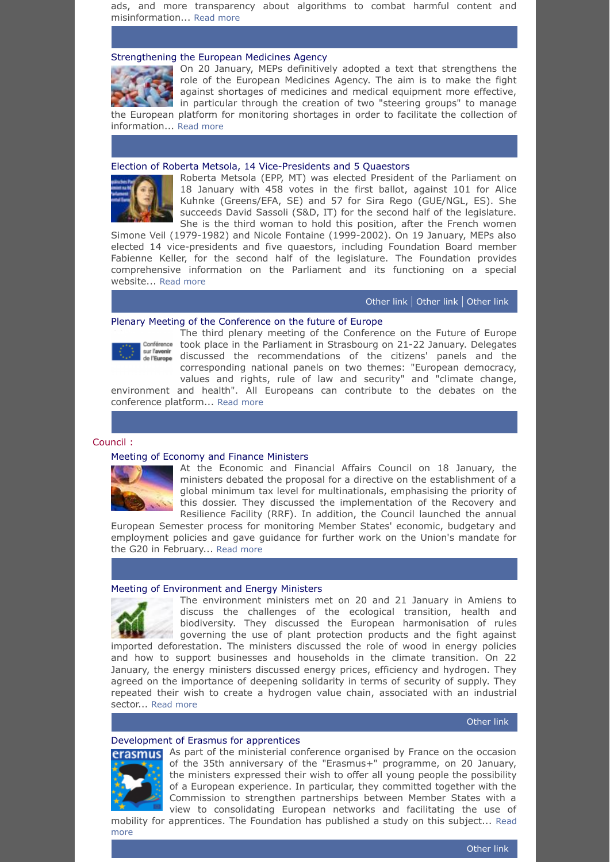ads, and more transparency about algorithms to combat harmful content and misinformation... [Read more](https://www.europarl.europa.eu/doceo/document/TA-9-2022-0014_EN.pdf)

### <span id="page-2-0"></span>[Strengthening the European Medicines Agency](https://www.europarl.europa.eu/doceo/document/TA-9-2022-0006_EN.pdf)



On 20 January, MEPs definitively adopted a text that strengthens the role of the European Medicines Agency. The aim is to make the fight against shortages of medicines and medical equipment more effective, in particular through the creation of two "steering groups" to manage the European platform for monitoring shortages in order to facilitate the collection of information... [Read more](https://www.europarl.europa.eu/doceo/document/TA-9-2022-0006_EN.pdf)

### <span id="page-2-1"></span>[Election of Roberta Metsola, 14 Vice-Presidents and 5 Quaestors](https://www.europarl.europa.eu/news/en/press-room/20220114IPR21012/roberta-metsola-elected-new-president-of-the-european-parliament)



Roberta Metsola (EPP, MT) was elected President of the Parliament on 18 January with 458 votes in the first ballot, against 101 for Alice Kuhnke (Greens/EFA, SE) and 57 for Sira Rego (GUE/NGL, ES). She succeeds David Sassoli (S&D, IT) for the second half of the legislature. She is the third woman to hold this position, after the French women

Simone Veil (1979-1982) and Nicole Fontaine (1999-2002). On 19 January, MEPs also elected 14 vice-presidents and five quaestors, including Foundation Board member Fabienne Keller, for the second half of the legislature. The Foundation provides comprehensive information on the Parliament and its functioning on a special website... [Read more](https://www.europarl.europa.eu/news/en/press-room/20220114IPR21012/roberta-metsola-elected-new-president-of-the-european-parliament)

[Other](https://www.europarl.europa.eu/news/en/press-room/20220114IPR21013/les-nouveaux-vice-presidents-et-questeurs-du-parlement) link | [Other](https://www.europarl.europa.eu/doceo/document/TA-9-2022-0001_EN.pdf) link | [Other](https://elections-europeennes.robert-schuman.eu/en/) link

## <span id="page-2-2"></span>[Plenary Meeting of the Conference on the future of Europe](https://www.europarl.europa.eu/news/en/press-room/20220124IPR21607/conference-on-the-future-of-europe-citizens-recommendations-debated-in-plenary)



The third plenary meeting of the Conference on the Future of Europe Conférence took place in the Parliament in Strasbourg on 21-22 January. Delegates de l'Europe discussed the recommendations of the citizens' panels and the corresponding national panels on two themes: "European democracy, values and rights, rule of law and security" and "climate change,

environment and health". All Europeans can contribute to the debates on the conference platform... [Read more](https://www.europarl.europa.eu/news/en/press-room/20220124IPR21607/conference-on-the-future-of-europe-citizens-recommendations-debated-in-plenary)

#### <span id="page-2-3"></span>Council :

### <span id="page-2-4"></span>[Meeting of Economy and Finance Ministers](https://www.consilium.europa.eu/en/meetings/ecofin/2022/01/18/)



At the Economic and Financial Affairs Council on 18 January, the ministers debated the proposal for a directive on the establishment of a global minimum tax level for multinationals, emphasising the priority of this dossier. They discussed the implementation of the Recovery and Resilience Facility (RRF). In addition, the Council launched the annual

European Semester process for monitoring Member States' economic, budgetary and employment policies and gave guidance for further work on the Union's mandate for the G20 in February... [Read more](https://www.consilium.europa.eu/en/meetings/ecofin/2022/01/18/)

#### <span id="page-2-5"></span>[Meeting of Environment and Energy Ministers](https://presidence-francaise.consilium.europa.eu/en/news/french-presidency-significant-progress-made-at-the-informal-meetings-of-the-ministers-for-the-environment/)



The environment ministers met on 20 and 21 January in Amiens to discuss the challenges of the ecological transition, health and biodiversity. They discussed the European harmonisation of rules governing the use of plant protection products and the fight against

imported deforestation. The ministers discussed the role of wood in energy policies and how to support businesses and households in the climate transition. On 22 January, the energy ministers discussed energy prices, efficiency and hydrogen. They agreed on the importance of deepening solidarity in terms of security of supply. They repeated their wish to create a hydrogen value chain, associated with an industrial sector... [Read more](https://presidence-francaise.consilium.europa.eu/en/news/french-presidency-significant-progress-made-at-the-informal-meetings-of-the-ministers-for-the-environment/)

## [Other](https://presidence-francaise.consilium.europa.eu/en/news/press-release-overview-of-the-discussions-between-the-eu-energy-ministers/) link

#### <span id="page-2-6"></span>[Development of Erasmus for apprentices](https://presidence-francaise.consilium.europa.eu/en/news/press-release-developing-erasmus-for-apprentices-an-objective-for-the-french-presidency-of-the-council-of-the-eu/)



more

As part of the ministerial conference organised by France on the occasion of the 35th anniversary of the "Erasmus+" programme, on 20 January, the ministers expressed their wish to offer all young people the possibility of a European experience. In particular, they committed together with the Commission to strengthen partnerships between Member States with a view to consolidating European networks and facilitating the use of [mobility for apprentices. The Foundation](https://presidence-francaise.consilium.europa.eu/en/news/press-release-developing-erasmus-for-apprentices-an-objective-for-the-french-presidency-of-the-council-of-the-eu/) has published a study on this subject... Read

[Other](https://www.robert-schuman.eu/en/doc/questions-d-europe/qe-606-en.pdf) link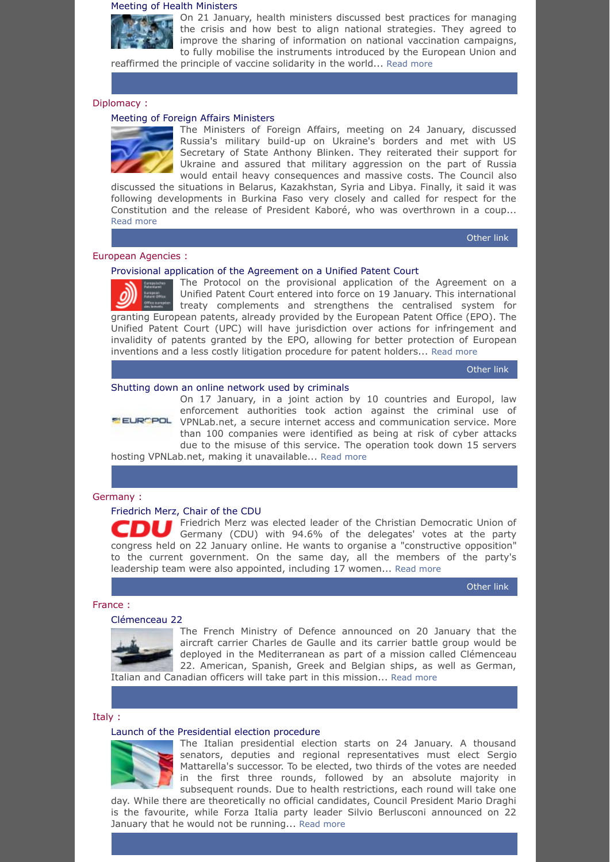#### <span id="page-3-0"></span>[Meeting of Health Ministers](https://tinyurl.com/rf7rfb7e)



On 21 January, health ministers discussed best practices for managing the crisis and how best to align national strategies. They agreed to improve the sharing of information on national vaccination campaigns, to fully mobilise the instruments introduced by the European Union and reaffirmed the principle of vaccine solidarity in the world... [Read more](https://tinyurl.com/rf7rfb7e)

<span id="page-3-1"></span>Diplomacy :

## <span id="page-3-2"></span>[Meeting of Foreign Affairs Ministers](https://www.consilium.europa.eu/en/meetings/fac/2022/01/24/)



The Ministers of Foreign Affairs, meeting on 24 January, discussed Russia's military build-up on Ukraine's borders and met with US Secretary of State Anthony Blinken. They reiterated their support for Ukraine and assured that military aggression on the part of Russia would entail heavy consequences and massive costs. The Council also

discussed the situations in Belarus, Kazakhstan, Syria and Libya. Finally, it said it was following developments in Burkina Faso very closely and called for respect for the Constitution and the release of President Kaboré, who was overthrown in a coup... [Read more](https://www.consilium.europa.eu/en/meetings/fac/2022/01/24/)

[Other](https://eeas.europa.eu/headquarters/headquarters-homepage/110030/foreign-affairs-council-press-remarks-high-representative-josep-borrell_en) link

## <span id="page-3-3"></span>European Agencies :

#### <span id="page-3-4"></span>[Provisional application of the Agreement on a Unified Patent Court](https://www.epo.org/news-events/news/2022/20220117.html)

The Protocol on the provisional application of the Agreement on a Unified Patent Court entered into force on 19 January. This international treaty complements and strengthens the centralised system for granting European patents, already provided by the European Patent Office (EPO). The Unified Patent Court (UPC) will have jurisdiction over actions for infringement and invalidity of patents granted by the EPO, allowing for better protection of European inventions and a less costly litigation procedure for patent holders... [Read more](https://www.epo.org/news-events/news/2022/20220117.html)

[Other](https://ec.europa.eu/commission/presscorner/detail/en/statement_22_426) link

#### <span id="page-3-5"></span>[Shutting down an online network used by criminals](https://www.europol.europa.eu/media-press/newsroom/news/unhappy-new-year-for-cybercriminals-vpnlabnet-goes-offline)



On 17 January, in a joint action by 10 countries and Europol, law enforcement authorities took action against the criminal use of **ELROPOL** VPNLab.net, a secure internet access and communication service. More than 100 companies were identified as being at risk of cyber attacks due to the misuse of this service. The operation took down 15 servers

hosting VPNLab.net, making it unavailable... [Read more](https://www.europol.europa.eu/media-press/newsroom/news/unhappy-new-year-for-cybercriminals-vpnlabnet-goes-offline)

#### <span id="page-3-6"></span>Germany :

## <span id="page-3-7"></span>[Friedrich Merz, Chair of the CDU](https://www.dw.com/en/who-is-friedrich-merz-the-new-head-of-germanys-cdu/a-56247517)

Friedrich Merz was elected leader of the Christian Democratic Union of Germany (CDU) with 94.6% of the delegates' votes at the party congress held on 22 January online. He wants to organise a "constructive opposition" to the current government. On the same day, all the members of the party's leadership team were also appointed, including 17 women... [Read more](https://www.dw.com/en/who-is-friedrich-merz-the-new-head-of-germanys-cdu/a-56247517)

[Other](https://www.cdu-parteitag.de/wahlergebnisse) link

#### <span id="page-3-8"></span>France :

#### <span id="page-3-9"></span>[Clémenceau 22](https://www.navalnews.com/naval-news/2022/01/us-french-and-italian-navies-to-conduct-tri-carrier-operations/)

The French Ministry of Defence announced on 20 January that the aircraft carrier Charles de Gaulle and its carrier battle group would be deployed in the Mediterranean as part of a mission called Clémenceau 22. American, Spanish, Greek and Belgian ships, as well as German,

Italian and Canadian officers will take part in this mission... [Read more](https://www.navalnews.com/naval-news/2022/01/us-french-and-italian-navies-to-conduct-tri-carrier-operations/)

#### <span id="page-3-10"></span>Italy :

#### <span id="page-3-11"></span>[Launch of the Presidential election procedure](https://www.theguardian.com/world/2022/jan/23/italy-secret-ballot-president-berlusconi-drops-out)



The Italian presidential election starts on 24 January. A thousand senators, deputies and regional representatives must elect Sergio Mattarella's successor. To be elected, two thirds of the votes are needed in the first three rounds, followed by an absolute majority in subsequent rounds. Due to health restrictions, each round will take one

day. While there are theoretically no official candidates, Council President Mario Draghi is the favourite, while Forza Italia party leader Silvio Berlusconi announced on 22 January that he would not be running... [Read more](https://www.theguardian.com/world/2022/jan/23/italy-secret-ballot-president-berlusconi-drops-out)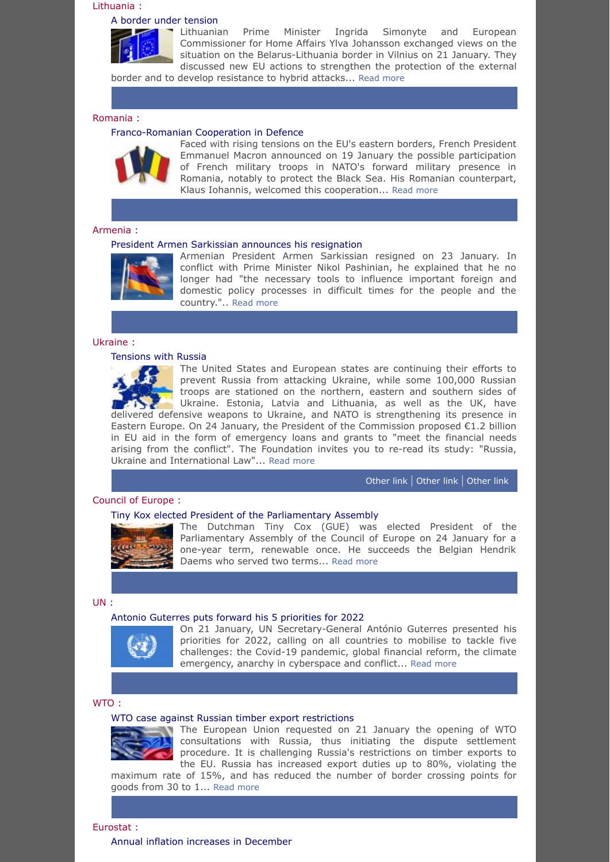## <span id="page-4-0"></span>Lithuania :

#### <span id="page-4-1"></span>[A border under tension](https://lrv.lt/en/news/prime-minister-and-european-commissioner-for-home-affairs-discuss-border-protection-security-in-the-region)



Lithuanian Prime Minister Ingrida Simonyte and European Commissioner for Home Affairs Ylva Johansson exchanged views on the situation on the Belarus-Lithuania border in Vilnius on 21 January. They discussed new EU actions to strengthen the protection of the external border and to develop resistance to hybrid attacks... [Read more](https://lrv.lt/en/news/prime-minister-and-european-commissioner-for-home-affairs-discuss-border-protection-security-in-the-region)

<span id="page-4-2"></span>Romania :

#### <span id="page-4-3"></span>[Franco-Romanian Cooperation in Defence](https://www.euractiv.com/section/politics/news/french-troops-in-romania-a-bid-to-clarify-misunderstandings/)



Faced with rising tensions on the EU's eastern borders, French President Emmanuel Macron announced on 19 January the possible participation of French military troops in NATO's forward military presence in Romania, notably to protect the Black Sea. His Romanian counterpart, Klaus Iohannis, welcomed this cooperation... [Read more](https://www.euractiv.com/section/politics/news/french-troops-in-romania-a-bid-to-clarify-misunderstandings/)

#### <span id="page-4-4"></span>Armenia :

#### <span id="page-4-5"></span>[President Armen Sarkissian announces his resignation](https://www.president.am/en/press-release/item/2022/01/23/President-Armen-Sarkissians-message/)



Armenian President Armen Sarkissian resigned on 23 January. In conflict with Prime Minister Nikol Pashinian, he explained that he no longer had "the necessary tools to influence important foreign and domestic policy processes in difficult times for the people and the country.".. [Read more](https://www.president.am/en/press-release/item/2022/01/23/President-Armen-Sarkissians-message/)

## <span id="page-4-6"></span>Ukraine :

#### <span id="page-4-7"></span>[Tensions with Russia](https://www.osce.org/ukrainecrisis)



The United States and European states are continuing their efforts to prevent Russia from attacking Ukraine, while some 100,000 Russian troops are stationed on the northern, eastern and southern sides of Ukraine. Estonia, Latvia and Lithuania, as well as the UK, have delivered defensive weapons to Ukraine, and NATO is strengthening its presence in Eastern Europe. On 24 January, the President of the Commission proposed  $\epsilon$ 1.2 billion in EU aid in the form of emergency loans and grants to "meet the financial needs arising from the conflict". The Foundation invites you to re-read its study: "Russia, Ukraine and International Law"... [Read more](https://www.osce.org/ukrainecrisis)

[Other](https://www.state.gov/the-stakes-of-russian-aggression-for-ukraine-and-beyond/) link | [Other](https://ec.europa.eu/commission/presscorner/detail/en/statement_22_545) link | [Other](https://www.robert-schuman.eu/en/doc/questions-d-europe/qe-344-en.pdf) link

### <span id="page-4-8"></span>Council of Europe :

#### <span id="page-4-9"></span>[Tiny Kox elected President of the Parliamentary Assembly](https://www.coe.int/en/web/portal/-/tiny-kox-elected-as-pace-president)



The Dutchman Tiny Cox (GUE) was elected President of the Parliamentary Assembly of the Council of Europe on 24 January for a one-year term, renewable once. He succeeds the Belgian Hendrik Daems who served two terms... [Read more](https://www.coe.int/en/web/portal/-/tiny-kox-elected-as-pace-president)

#### <span id="page-4-10"></span>UN :

#### <span id="page-4-11"></span>[Antonio Guterres puts forward his 5 priorities for 2022](https://news.un.org/en/story/2022/01/1110292)



On 21 January, UN Secretary-General António Guterres presented his priorities for 2022, calling on all countries to mobilise to tackle five challenges: the Covid-19 pandemic, global financial reform, the climate emergency, anarchy in cyberspace and conflict... [Read more](https://news.un.org/en/story/2022/01/1110292)

#### <span id="page-4-12"></span>WTO :

#### <span id="page-4-13"></span>[WTO case against Russian timber export restrictions](https://ec.europa.eu/commission/presscorner/detail/en/ip_22_410)

The European Union requested on 21 January the opening of WTO consultations with Russia, thus initiating the dispute settlement procedure. It is challenging Russia's restrictions on timber exports to the EU. Russia has increased export duties up to 80%, violating the maximum rate of 15%, and has reduced the number of border crossing points for

goods from 30 to 1... [Read more](https://ec.europa.eu/commission/presscorner/detail/en/ip_22_410)

<span id="page-4-15"></span><span id="page-4-14"></span>Eurostat : [Annual inflation increases in December](https://ec.europa.eu/eurostat/documents/2995521/14176359/2-20012022-AP-EN.pdf/ce642dc8-1f96-fb6e-a7fc-a667762c5d37)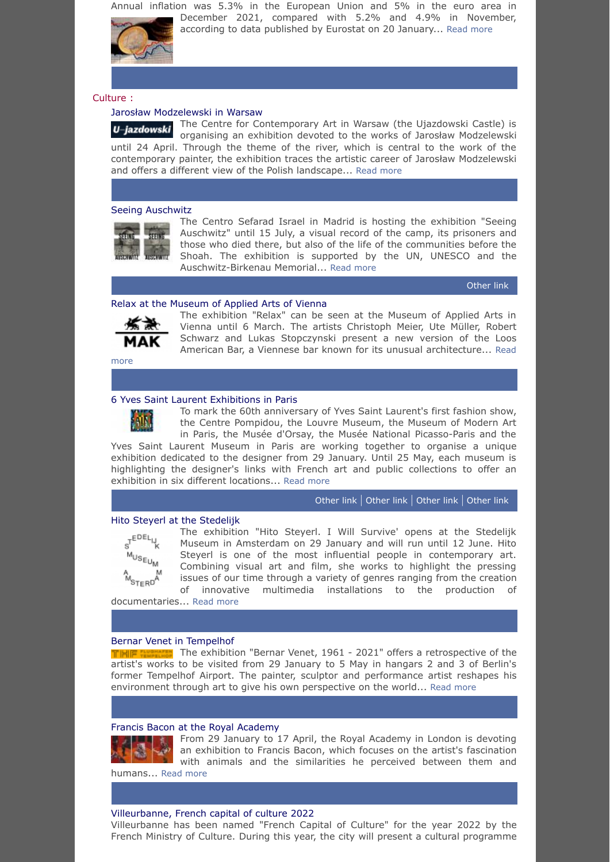Annual inflation was 5.3% in the European Union and 5% in the euro area in December 2021, compared with 5.2% and 4.9% in November,

according to data published by Eurostat on 20 January... [Read more](https://ec.europa.eu/eurostat/documents/2995521/14176359/2-20012022-AP-EN.pdf/ce642dc8-1f96-fb6e-a7fc-a667762c5d37)



<span id="page-5-0"></span>Culture :

## <span id="page-5-1"></span>[Jarosław Modzelewski in Warsaw](https://u-jazdowski.pl/en/programme/exhibitions/jaroslaw-modzelewski)

The Centre for Contemporary Art in Warsaw (the Ujazdowski Castle) is U-jazdowski organising an exhibition devoted to the works of Jarosław Modzelewski until 24 April. Through the theme of the river, which is central to the work of the contemporary painter, the exhibition traces the artistic career of Jarosław Modzelewski and offers a different view of the Polish landscape... [Read more](https://u-jazdowski.pl/en/programme/exhibitions/jaroslaw-modzelewski)

## <span id="page-5-2"></span>[Seeing Auschwitz](https://seeing-auschwitz.com/en/)



The Centro Sefarad Israel in Madrid is hosting the exhibition "Seeing Auschwitz" until 15 July, a visual record of the camp, its prisoners and those who died there, but also of the life of the communities before the Shoah. The exhibition is supported by the UN, UNESCO and the Auschwitz-Birkenau Memorial... [Read more](https://seeing-auschwitz.com/en/)

[Other](http://www.sefarad-israel.es/Exposicion_Seeing_Auschwitz_25_exposicion_enero) link

## <span id="page-5-3"></span>[Relax at the Museum of Applied Arts of Vienna](https://mak.at/en/relax)



The exhibition "Relax" can be seen at the Museum of Applied Arts in Vienna until 6 March. The artists Christoph Meier, Ute Müller, Robert Schwarz and Lukas Stopczynski present a new version of the Loos [American Bar, a Viennese bar known for its unusual architecture...](https://mak.at/en/relax) Read

more

## <span id="page-5-4"></span>[6 Yves Saint Laurent Exhibitions in Paris](https://www.musee-orsay.fr/fr/expositions/yves-saint-laurent-aux-musees-201146)

To mark the 60th anniversary of Yves Saint Laurent's first fashion show, the Centre Pompidou, the Louvre Museum, the Museum of Modern Art in Paris, the Musée d'Orsay, the Musée National Picasso-Paris and the

Yves Saint Laurent Museum in Paris are working together to organise a unique exhibition dedicated to the designer from 29 January. Until 25 May, each museum is highlighting the designer's links with French art and public collections to offer an exhibition in six different locations... [Read more](https://www.musee-orsay.fr/fr/expositions/yves-saint-laurent-aux-musees-201146)

## [Other](https://www.louvre.fr/en/what-s-on/exhibitions/yves-saint-laurent-at-the-louvre) link | [Other](https://www.centrepompidou.fr/fr/programme/agenda/evenement/OOXAzPI) link | [Other](http://www.mam.paris.fr/fr/expositions/exposition-yves-saint-laurent-aux-musees) link | [Other](https://museeyslparis.com/expositions/yves-saint-laurent-au-5-avenue-marceau) link

### <span id="page-5-5"></span>[Hito Steyerl at the Stedelijk](https://www.stedelijk.nl/en/exhibitions/hito-steyerl-2)



The exhibition "Hito Steyerl. I Will Survive' opens at the Stedelijk Museum in Amsterdam on 29 January and will run until 12 June. Hito Steyerl is one of the most influential people in contemporary art. Combining visual art and film, she works to highlight the pressing issues of our time through a variety of genres ranging from the creation of innovative multimedia installations to the production of

documentaries... [Read more](https://www.stedelijk.nl/en/exhibitions/hito-steyerl-2)

#### <span id="page-5-6"></span>[Bernar Venet in Tempelhof](https://www.visitberlin.de/en/event/bernar-venet-1961-2021-60-years-performance-paintings-and-sculptures)

The exhibition "Bernar Venet, 1961 - 2021" offers a retrospective of the artist's works to be visited from 29 January to 5 May in hangars 2 and 3 of Berlin's former Tempelhof Airport. The painter, sculptor and performance artist reshapes his environment through art to give his own perspective on the world... [Read more](https://www.visitberlin.de/en/event/bernar-venet-1961-2021-60-years-performance-paintings-and-sculptures)

#### <span id="page-5-7"></span>[Francis Bacon at the Royal Academy](https://www.royalacademy.org.uk/exhibition/francis-bacon)

From 29 January to 17 April, the Royal Academy in London is devoting an exhibition to Francis Bacon, which focuses on the artist's fascination with animals and the similarities he perceived between them and

humans... [Read more](https://www.royalacademy.org.uk/exhibition/francis-bacon)

## <span id="page-5-8"></span>[Villeurbanne, French capital of culture 2022](https://www.culture.gouv.fr/en/Presse/Communiques-de-presse/Roselyne-Bachelot-Narquin-ministre-de-la-Culture-attribue-le-label-Capitale-francaise-de-la-culture-a-la-ville-de-Villeurbanne-pour-l-annee-2022)

Villeurbanne has been named "French Capital of Culture" for the year 2022 by the French Ministry of Culture. During this year, the city will present a cultural programme